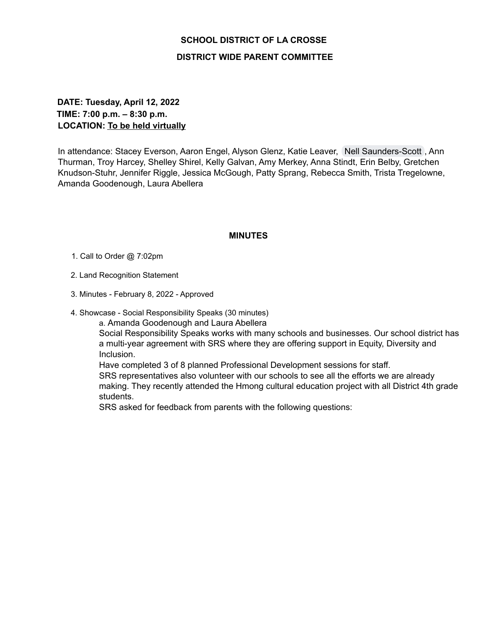## **SCHOOL DISTRICT OF LA CROSSE DISTRICT WIDE PARENT COMMITTEE**

## **DATE: Tuesday, April 12, 2022 TIME: 7:00 p.m. – 8:30 p.m. LOCATION: To be held virtually**

In attendance: Stacey Everson, Aaron Engel, Alyson Glenz, Katie Leaver, Nell [Saunders-Scott](mailto:nell@lacrosseeducationfoundation.org), Ann Thurman, Troy Harcey, Shelley Shirel, Kelly Galvan, Amy Merkey, Anna Stindt, Erin Belby, Gretchen Knudson-Stuhr, Jennifer Riggle, Jessica McGough, Patty Sprang, Rebecca Smith, Trista Tregelowne, Amanda Goodenough, Laura Abellera

## **MINUTES**

- 1. Call to Order @ 7:02pm
- 2. Land Recognition Statement
- 3. Minutes February 8, 2022 Approved
- 4. Showcase Social Responsibility Speaks (30 minutes)

a. Amanda Goodenough and Laura Abellera

Social Responsibility Speaks works with many schools and businesses. Our school district has a multi-year agreement with SRS where they are offering support in Equity, Diversity and Inclusion.

Have completed 3 of 8 planned Professional Development sessions for staff. SRS representatives also volunteer with our schools to see all the efforts we are already making. They recently attended the Hmong cultural education project with all District 4th grade students.

SRS asked for feedback from parents with the following questions: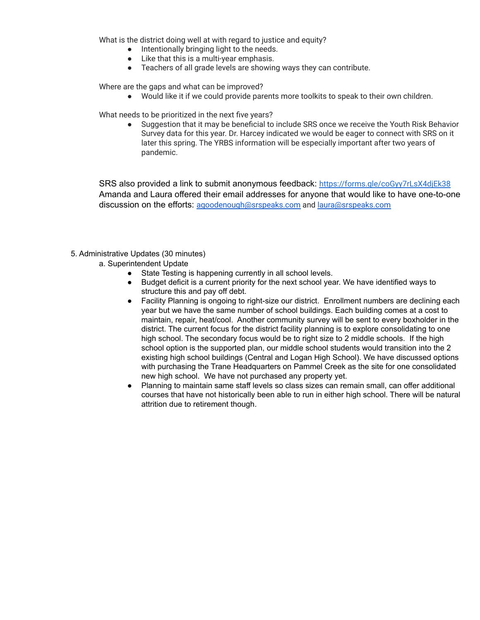What is the district doing well at with regard to justice and equity?

- Intentionally bringing light to the needs.
- Like that this is a multi-year emphasis.
- Teachers of all grade levels are showing ways they can contribute.

Where are the gaps and what can be improved?

● Would like it if we could provide parents more toolkits to speak to their own children.

What needs to be prioritized in the next five years?

Suggestion that it may be beneficial to include SRS once we receive the Youth Risk Behavior Survey data for this year. Dr. Harcey indicated we would be eager to connect with SRS on it later this spring. The YRBS information will be especially important after two years of pandemic.

SRS also provided a link to submit anonymous feedback: <https://forms.gle/coGyy7rLsX4djEk38> Amanda and Laura offered their email addresses for anyone that would like to have one-to-one discussion on the efforts: [agoodenough@srspeaks.com](mailto:agoodenough@srspeaks.com) and [laura@srspeaks.com](mailto:laura@srspeaks.com)

- 5. Administrative Updates (30 minutes)
	- a. Superintendent Update
		- State Testing is happening currently in all school levels.
		- Budget deficit is a current priority for the next school year. We have identified ways to structure this and pay off debt.
		- Facility Planning is ongoing to right-size our district. Enrollment numbers are declining each year but we have the same number of school buildings. Each building comes at a cost to maintain, repair, heat/cool. Another community survey will be sent to every boxholder in the district. The current focus for the district facility planning is to explore consolidating to one high school. The secondary focus would be to right size to 2 middle schools. If the high school option is the supported plan, our middle school students would transition into the 2 existing high school buildings (Central and Logan High School). We have discussed options with purchasing the Trane Headquarters on Pammel Creek as the site for one consolidated new high school. We have not purchased any property yet.
		- Planning to maintain same staff levels so class sizes can remain small, can offer additional courses that have not historically been able to run in either high school. There will be natural attrition due to retirement though.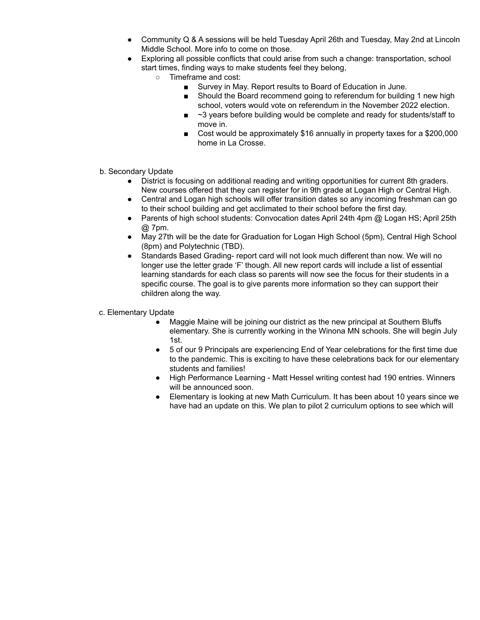- Community Q & A sessions will be held Tuesday April 26th and Tuesday, May 2nd at Lincoln Middle School. More info to come on those.
- Exploring all possible conflicts that could arise from such a change: transportation, school start times, finding ways to make students feel they belong,
	- Timeframe and cost:
		- Survey in May. Report results to Board of Education in June.
		- Should the Board recommend going to referendum for building 1 new high school, voters would vote on referendum in the November 2022 election.
		- $\blacksquare$  ~3 years before building would be complete and ready for students/staff to move in.
		- Cost would be approximately \$16 annually in property taxes for a \$200,000 home in La Crosse.
- b. Secondary Update
	- District is focusing on additional reading and writing opportunities for current 8th graders. New courses offered that they can register for in 9th grade at Logan High or Central High.
	- Central and Logan high schools will offer transition dates so any incoming freshman can go to their school building and get acclimated to their school before the first day.
	- Parents of high school students: Convocation dates April 24th 4pm @ Logan HS; April 25th @ 7pm.
	- May 27th will be the date for Graduation for Logan High School (5pm), Central High School (8pm) and Polytechnic (TBD).
	- Standards Based Grading- report card will not look much different than now. We will no longer use the letter grade 'F' though. All new report cards will include a list of essential learning standards for each class so parents will now see the focus for their students in a specific course. The goal is to give parents more information so they can support their children along the way.
- c. Elementary Update
	- Maggie Maine will be joining our district as the new principal at Southern Bluffs elementary. She is currently working in the Winona MN schools. She will begin July 1st.
	- 5 of our 9 Principals are experiencing End of Year celebrations for the first time due to the pandemic. This is exciting to have these celebrations back for our elementary students and families!
	- High Performance Learning Matt Hessel writing contest had 190 entries. Winners will be announced soon.
	- Elementary is looking at new Math Curriculum. It has been about 10 years since we have had an update on this. We plan to pilot 2 curriculum options to see which will